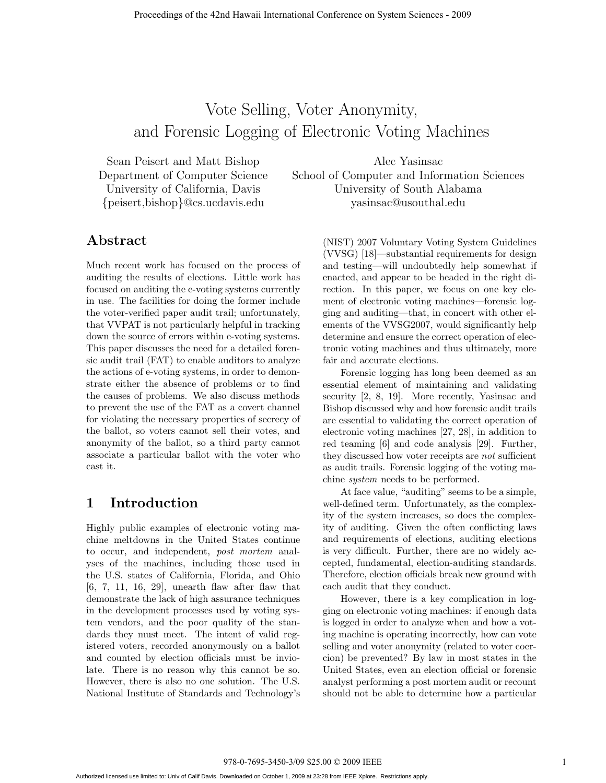# Vote Selling, Voter Anonymity, and Forensic Logging of Electronic Voting Machines

Sean Peisert and Matt Bishop Department of Computer Science University of California, Davis {peisert,bishop}@cs.ucdavis.edu

### **Abstract**

Much recent work has focused on the process of auditing the results of elections. Little work has focused on auditing the e-voting systems currently in use. The facilities for doing the former include the voter-verified paper audit trail; unfortunately, that VVPAT is not particularly helpful in tracking down the source of errors within e-voting systems. This paper discusses the need for a detailed forensic audit trail (FAT) to enable auditors to analyze the actions of e-voting systems, in order to demonstrate either the absence of problems or to find the causes of problems. We also discuss methods to prevent the use of the FAT as a covert channel for violating the necessary properties of secrecy of the ballot, so voters cannot sell their votes, and anonymity of the ballot, so a third party cannot associate a particular ballot with the voter who cast it.

## **1 Introduction**

Highly public examples of electronic voting machine meltdowns in the United States continue to occur, and independent, post mortem analyses of the machines, including those used in the U.S. states of California, Florida, and Ohio [6, 7, 11, 16, 29], unearth flaw after flaw that demonstrate the lack of high assurance techniques in the development processes used by voting system vendors, and the poor quality of the standards they must meet. The intent of valid registered voters, recorded anonymously on a ballot and counted by election officials must be inviolate. There is no reason why this cannot be so. However, there is also no one solution. The U.S. National Institute of Standards and Technology's

Alec Yasinsac School of Computer and Information Sciences University of South Alabama yasinsac@usouthal.edu

> (NIST) 2007 Voluntary Voting System Guidelines (VVSG) [18]—substantial requirements for design and testing—will undoubtedly help somewhat if enacted, and appear to be headed in the right direction. In this paper, we focus on one key element of electronic voting machines—forensic logging and auditing—that, in concert with other elements of the VVSG2007, would significantly help determine and ensure the correct operation of electronic voting machines and thus ultimately, more fair and accurate elections.

> Forensic logging has long been deemed as an essential element of maintaining and validating security [2, 8, 19]. More recently, Yasinsac and Bishop discussed why and how forensic audit trails are essential to validating the correct operation of electronic voting machines [27, 28], in addition to red teaming [6] and code analysis [29]. Further, they discussed how voter receipts are *not* sufficient as audit trails. Forensic logging of the voting machine system needs to be performed.

> At face value, "auditing" seems to be a simple, well-defined term. Unfortunately, as the complexity of the system increases, so does the complexity of auditing. Given the often conflicting laws and requirements of elections, auditing elections is very difficult. Further, there are no widely accepted, fundamental, election-auditing standards. Therefore, election officials break new ground with each audit that they conduct.

> However, there is a key complication in logging on electronic voting machines: if enough data is logged in order to analyze when and how a voting machine is operating incorrectly, how can vote selling and voter anonymity (related to voter coercion) be prevented? By law in most states in the United States, even an election official or forensic analyst performing a post mortem audit or recount should not be able to determine how a particular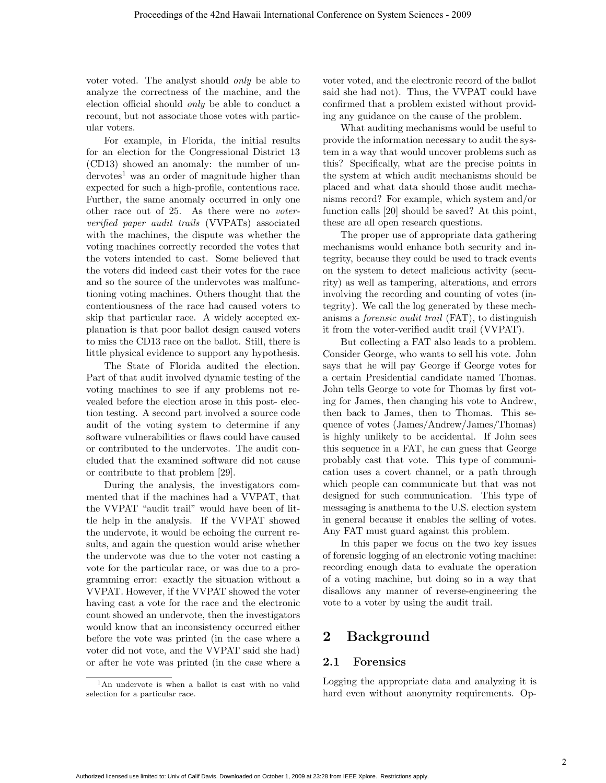voter voted. The analyst should only be able to analyze the correctness of the machine, and the election official should only be able to conduct a recount, but not associate those votes with particular voters.

For example, in Florida, the initial results for an election for the Congressional District 13 (CD13) showed an anomaly: the number of un $dervotes<sup>1</sup>$  was an order of magnitude higher than expected for such a high-profile, contentious race. Further, the same anomaly occurred in only one other race out of 25. As there were no voterverified paper audit trails (VVPATs) associated with the machines, the dispute was whether the voting machines correctly recorded the votes that the voters intended to cast. Some believed that the voters did indeed cast their votes for the race and so the source of the undervotes was malfunctioning voting machines. Others thought that the contentiousness of the race had caused voters to skip that particular race. A widely accepted explanation is that poor ballot design caused voters to miss the CD13 race on the ballot. Still, there is little physical evidence to support any hypothesis.

The State of Florida audited the election. Part of that audit involved dynamic testing of the voting machines to see if any problems not revealed before the election arose in this post- election testing. A second part involved a source code audit of the voting system to determine if any software vulnerabilities or flaws could have caused or contributed to the undervotes. The audit concluded that the examined software did not cause or contribute to that problem [29].

During the analysis, the investigators commented that if the machines had a VVPAT, that the VVPAT "audit trail" would have been of little help in the analysis. If the VVPAT showed the undervote, it would be echoing the current results, and again the question would arise whether the undervote was due to the voter not casting a vote for the particular race, or was due to a programming error: exactly the situation without a VVPAT. However, if the VVPAT showed the voter having cast a vote for the race and the electronic count showed an undervote, then the investigators would know that an inconsistency occurred either before the vote was printed (in the case where a voter did not vote, and the VVPAT said she had) or after he vote was printed (in the case where a

voter voted, and the electronic record of the ballot said she had not). Thus, the VVPAT could have confirmed that a problem existed without providing any guidance on the cause of the problem.

What auditing mechanisms would be useful to provide the information necessary to audit the system in a way that would uncover problems such as this? Specifically, what are the precise points in the system at which audit mechanisms should be placed and what data should those audit mechanisms record? For example, which system and/or function calls [20] should be saved? At this point, these are all open research questions.

The proper use of appropriate data gathering mechanisms would enhance both security and integrity, because they could be used to track events on the system to detect malicious activity (security) as well as tampering, alterations, and errors involving the recording and counting of votes (integrity). We call the log generated by these mechanisms a forensic audit trail (FAT), to distinguish it from the voter-verified audit trail (VVPAT).

But collecting a FAT also leads to a problem. Consider George, who wants to sell his vote. John says that he will pay George if George votes for a certain Presidential candidate named Thomas. John tells George to vote for Thomas by first voting for James, then changing his vote to Andrew, then back to James, then to Thomas. This sequence of votes (James/Andrew/James/Thomas) is highly unlikely to be accidental. If John sees this sequence in a FAT, he can guess that George probably cast that vote. This type of communication uses a covert channel, or a path through which people can communicate but that was not designed for such communication. This type of messaging is anathema to the U.S. election system in general because it enables the selling of votes. Any FAT must guard against this problem.

In this paper we focus on the two key issues of forensic logging of an electronic voting machine: recording enough data to evaluate the operation of a voting machine, but doing so in a way that disallows any manner of reverse-engineering the vote to a voter by using the audit trail.

## **2 Background**

#### **2.1 Forensics**

Logging the appropriate data and analyzing it is hard even without anonymity requirements. Op-

<sup>1</sup>An undervote is when a ballot is cast with no valid selection for a particular race.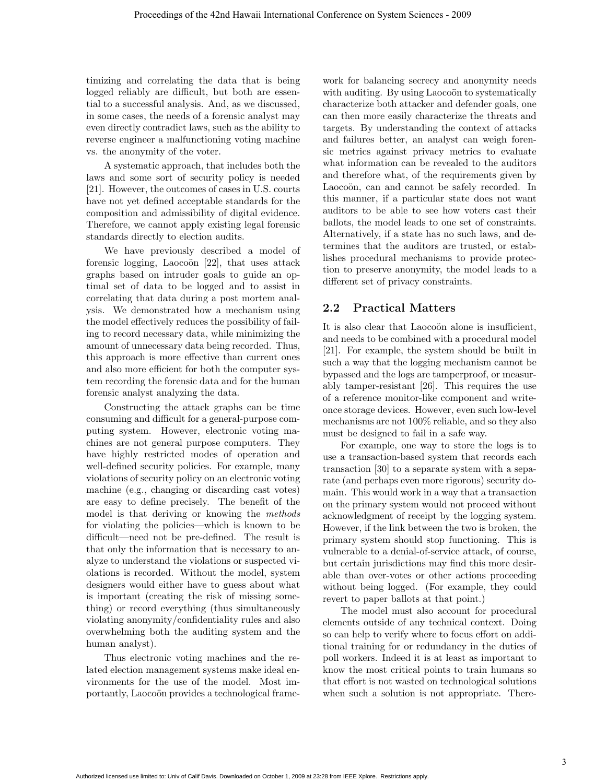timizing and correlating the data that is being logged reliably are difficult, but both are essential to a successful analysis. And, as we discussed, in some cases, the needs of a forensic analyst may even directly contradict laws, such as the ability to reverse engineer a malfunctioning voting machine vs. the anonymity of the voter.

A systematic approach, that includes both the laws and some sort of security policy is needed [21]. However, the outcomes of cases in U.S. courts have not yet defined acceptable standards for the composition and admissibility of digital evidence. Therefore, we cannot apply existing legal forensic standards directly to election audits.

We have previously described a model of forensic logging, Laocoön  $[22]$ , that uses attack graphs based on intruder goals to guide an optimal set of data to be logged and to assist in correlating that data during a post mortem analysis. We demonstrated how a mechanism using the model effectively reduces the possibility of failing to record necessary data, while minimizing the amount of unnecessary data being recorded. Thus, this approach is more effective than current ones and also more efficient for both the computer system recording the forensic data and for the human forensic analyst analyzing the data.

Constructing the attack graphs can be time consuming and difficult for a general-purpose computing system. However, electronic voting machines are not general purpose computers. They have highly restricted modes of operation and well-defined security policies. For example, many violations of security policy on an electronic voting machine (e.g., changing or discarding cast votes) are easy to define precisely. The benefit of the model is that deriving or knowing the methods for violating the policies—which is known to be difficult—need not be pre-defined. The result is that only the information that is necessary to analyze to understand the violations or suspected violations is recorded. Without the model, system designers would either have to guess about what is important (creating the risk of missing something) or record everything (thus simultaneously violating anonymity/confidentiality rules and also overwhelming both the auditing system and the human analyst).

Thus electronic voting machines and the related election management systems make ideal environments for the use of the model. Most importantly, Laocoön provides a technological frame-

work for balancing secrecy and anonymity needs with auditing. By using Laocoön to systematically characterize both attacker and defender goals, one can then more easily characterize the threats and targets. By understanding the context of attacks and failures better, an analyst can weigh forensic metrics against privacy metrics to evaluate what information can be revealed to the auditors and therefore what, of the requirements given by Laocoön, can and cannot be safely recorded. In this manner, if a particular state does not want auditors to be able to see how voters cast their ballots, the model leads to one set of constraints. Alternatively, if a state has no such laws, and determines that the auditors are trusted, or establishes procedural mechanisms to provide protection to preserve anonymity, the model leads to a different set of privacy constraints.

#### **2.2 Practical Matters**

It is also clear that Laocoön alone is insufficient, and needs to be combined with a procedural model [21]. For example, the system should be built in such a way that the logging mechanism cannot be bypassed and the logs are tamperproof, or measurably tamper-resistant [26]. This requires the use of a reference monitor-like component and writeonce storage devices. However, even such low-level mechanisms are not 100% reliable, and so they also must be designed to fail in a safe way.

For example, one way to store the logs is to use a transaction-based system that records each transaction [30] to a separate system with a separate (and perhaps even more rigorous) security domain. This would work in a way that a transaction on the primary system would not proceed without acknowledgment of receipt by the logging system. However, if the link between the two is broken, the primary system should stop functioning. This is vulnerable to a denial-of-service attack, of course, but certain jurisdictions may find this more desirable than over-votes or other actions proceeding without being logged. (For example, they could revert to paper ballots at that point.)

The model must also account for procedural elements outside of any technical context. Doing so can help to verify where to focus effort on additional training for or redundancy in the duties of poll workers. Indeed it is at least as important to know the most critical points to train humans so that effort is not wasted on technological solutions when such a solution is not appropriate. There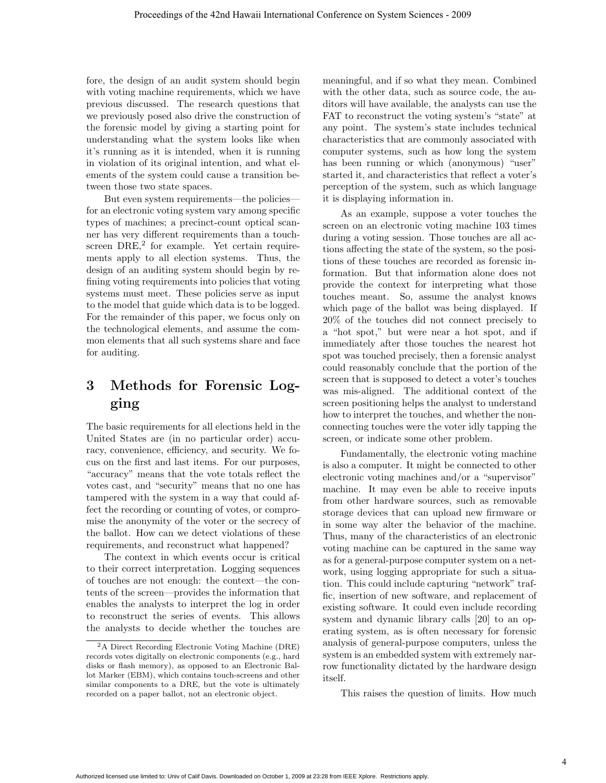fore, the design of an audit system should begin with voting machine requirements, which we have previous discussed. The research questions that we previously posed also drive the construction of the forensic model by giving a starting point for understanding what the system looks like when it's running as it is intended, when it is running in violation of its original intention, and what elements of the system could cause a transition between those two state spaces.

But even system requirements—the policies for an electronic voting system vary among specific types of machines; a precinct-count optical scanner has very different requirements than a touchscreen  $DRE<sub>1</sub><sup>2</sup>$  for example. Yet certain requirements apply to all election systems. Thus, the design of an auditing system should begin by refining voting requirements into policies that voting systems must meet. These policies serve as input to the model that guide which data is to be logged. For the remainder of this paper, we focus only on the technological elements, and assume the common elements that all such systems share and face for auditing.

## **3 Methods for Forensic Logging**

The basic requirements for all elections held in the United States are (in no particular order) accuracy, convenience, efficiency, and security. We focus on the first and last items. For our purposes, "accuracy" means that the vote totals reflect the votes cast, and "security" means that no one has tampered with the system in a way that could affect the recording or counting of votes, or compromise the anonymity of the voter or the secrecy of the ballot. How can we detect violations of these requirements, and reconstruct what happened?

The context in which events occur is critical to their correct interpretation. Logging sequences of touches are not enough: the context—the contents of the screen—provides the information that enables the analysts to interpret the log in order to reconstruct the series of events. This allows the analysts to decide whether the touches are

meaningful, and if so what they mean. Combined with the other data, such as source code, the auditors will have available, the analysts can use the FAT to reconstruct the voting system's "state" at any point. The system's state includes technical characteristics that are commonly associated with computer systems, such as how long the system has been running or which (anonymous) "user" started it, and characteristics that reflect a voter's perception of the system, such as which language it is displaying information in.

As an example, suppose a voter touches the screen on an electronic voting machine 103 times during a voting session. Those touches are all actions affecting the state of the system, so the positions of these touches are recorded as forensic information. But that information alone does not provide the context for interpreting what those touches meant. So, assume the analyst knows which page of the ballot was being displayed. If 20% of the touches did not connect precisely to a "hot spot," but were near a hot spot, and if immediately after those touches the nearest hot spot was touched precisely, then a forensic analyst could reasonably conclude that the portion of the screen that is supposed to detect a voter's touches was mis-aligned. The additional context of the screen positioning helps the analyst to understand how to interpret the touches, and whether the nonconnecting touches were the voter idly tapping the screen, or indicate some other problem.

Fundamentally, the electronic voting machine is also a computer. It might be connected to other electronic voting machines and/or a "supervisor" machine. It may even be able to receive inputs from other hardware sources, such as removable storage devices that can upload new firmware or in some way alter the behavior of the machine. Thus, many of the characteristics of an electronic voting machine can be captured in the same way as for a general-purpose computer system on a network, using logging appropriate for such a situation. This could include capturing "network" traffic, insertion of new software, and replacement of existing software. It could even include recording system and dynamic library calls [20] to an operating system, as is often necessary for forensic analysis of general-purpose computers, unless the system is an embedded system with extremely narrow functionality dictated by the hardware design itself.

This raises the question of limits. How much

<sup>2</sup>A Direct Recording Electronic Voting Machine (DRE) records votes digitally on electronic components (e.g., hard disks or flash memory), as opposed to an Electronic Ballot Marker (EBM), which contains touch-screens and other similar components to a DRE, but the vote is ultimately recorded on a paper ballot, not an electronic object.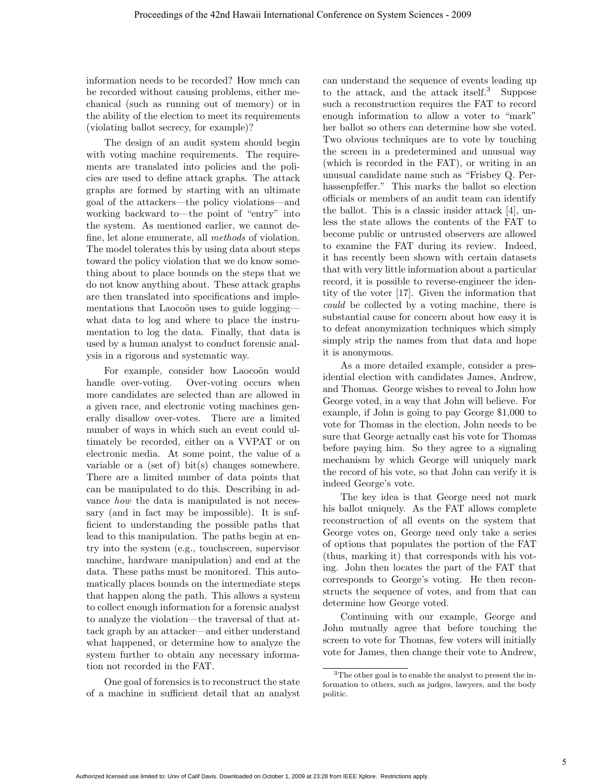information needs to be recorded? How much can be recorded without causing problems, either mechanical (such as running out of memory) or in the ability of the election to meet its requirements (violating ballot secrecy, for example)?

The design of an audit system should begin with voting machine requirements. The requirements are translated into policies and the policies are used to define attack graphs. The attack graphs are formed by starting with an ultimate goal of the attackers—the policy violations—and working backward to—the point of "entry" into the system. As mentioned earlier, we cannot define, let alone enumerate, all methods of violation. The model tolerates this by using data about steps toward the policy violation that we do know something about to place bounds on the steps that we do not know anything about. These attack graphs are then translated into specifications and implementations that Laocoon uses to guide logging what data to log and where to place the instrumentation to log the data. Finally, that data is used by a human analyst to conduct forensic analysis in a rigorous and systematic way.

For example, consider how Laocoon would handle over-voting. Over-voting occurs when more candidates are selected than are allowed in a given race, and electronic voting machines generally disallow over-votes. There are a limited number of ways in which such an event could ultimately be recorded, either on a VVPAT or on electronic media. At some point, the value of a variable or a (set of) bit(s) changes somewhere. There are a limited number of data points that can be manipulated to do this. Describing in advance how the data is manipulated is not necessary (and in fact may be impossible). It is sufficient to understanding the possible paths that lead to this manipulation. The paths begin at entry into the system (e.g., touchscreen, supervisor machine, hardware manipulation) and end at the data. These paths must be monitored. This automatically places bounds on the intermediate steps that happen along the path. This allows a system to collect enough information for a forensic analyst to analyze the violation—the traversal of that attack graph by an attacker—and either understand what happened, or determine how to analyze the system further to obtain any necessary information not recorded in the FAT.

One goal of forensics is to reconstruct the state of a machine in sufficient detail that an analyst

can understand the sequence of events leading up to the attack, and the attack itself.<sup>3</sup> Suppose such a reconstruction requires the FAT to record enough information to allow a voter to "mark" her ballot so others can determine how she voted. Two obvious techniques are to vote by touching the screen in a predetermined and unusual way (which is recorded in the FAT), or writing in an unusual candidate name such as "Frisbey Q. Perhassenpfeffer." This marks the ballot so election officials or members of an audit team can identify the ballot. This is a classic insider attack [4], unless the state allows the contents of the FAT to become public or untrusted observers are allowed to examine the FAT during its review. Indeed, it has recently been shown with certain datasets that with very little information about a particular record, it is possible to reverse-engineer the identity of the voter [17]. Given the information that could be collected by a voting machine, there is substantial cause for concern about how easy it is to defeat anonymization techniques which simply simply strip the names from that data and hope it is anonymous.

As a more detailed example, consider a presidential election with candidates James, Andrew, and Thomas. George wishes to reveal to John how George voted, in a way that John will believe. For example, if John is going to pay George \$1,000 to vote for Thomas in the election, John needs to be sure that George actually cast his vote for Thomas before paying him. So they agree to a signaling mechanism by which George will uniquely mark the record of his vote, so that John can verify it is indeed George's vote.

The key idea is that George need not mark his ballot uniquely. As the FAT allows complete reconstruction of all events on the system that George votes on, George need only take a series of options that populates the portion of the FAT (thus, marking it) that corresponds with his voting. John then locates the part of the FAT that corresponds to George's voting. He then reconstructs the sequence of votes, and from that can determine how George voted.

Continuing with our example, George and John mutually agree that before touching the screen to vote for Thomas, few voters will initially vote for James, then change their vote to Andrew,

<sup>3</sup>The other goal is to enable the analyst to present the information to others, such as judges, lawyers, and the body politic.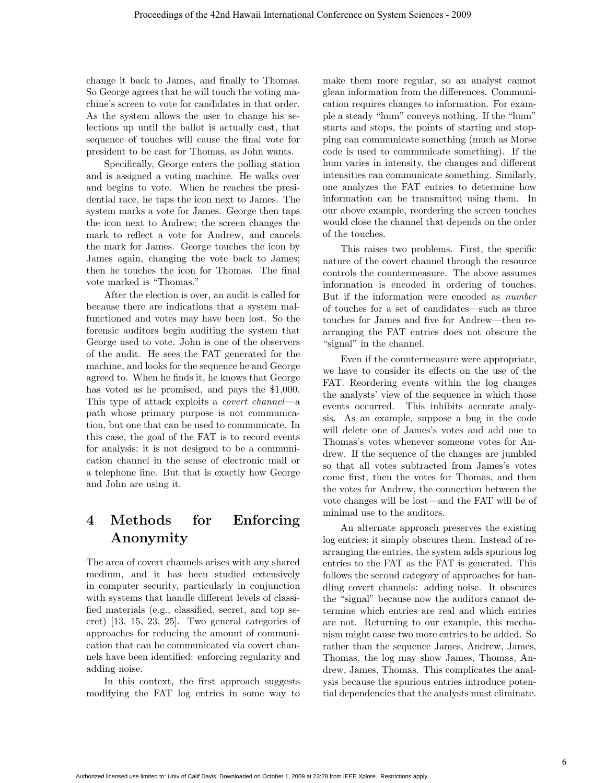change it back to James, and finally to Thomas. So George agrees that he will touch the voting machine's screen to vote for candidates in that order. As the system allows the user to change his selections up until the ballot is actually cast, that sequence of touches will cause the final vote for president to be cast for Thomas, as John wants.

Specifically, George enters the polling station and is assigned a voting machine. He walks over and begins to vote. When he reaches the presidential race, he taps the icon next to James. The system marks a vote for James. George then taps the icon next to Andrew; the screen changes the mark to reflect a vote for Andrew, and cancels the mark for James. George touches the icon by James again, changing the vote back to James; then he touches the icon for Thomas. The final vote marked is "Thomas."

After the election is over, an audit is called for because there are indications that a system malfunctioned and votes may have been lost. So the forensic auditors begin auditing the system that George used to vote. John is one of the observers of the audit. He sees the FAT generated for the machine, and looks for the sequence he and George agreed to. When he finds it, he knows that George has voted as he promised, and pays the \$1,000. This type of attack exploits a covert channel—a path whose primary purpose is not communication, but one that can be used to communicate. In this case, the goal of the FAT is to record events for analysis; it is not designed to be a communication channel in the sense of electronic mail or a telephone line. But that is exactly how George and John are using it.

## **4 Methods for Enforcing Anonymity**

The area of covert channels arises with any shared medium, and it has been studied extensively in computer security, particularly in conjunction with systems that handle different levels of classified materials (e.g., classified, secret, and top secret) [13, 15, 23, 25]. Two general categories of approaches for reducing the amount of communication that can be communicated via covert channels have been identified: enforcing regularity and adding noise.

In this context, the first approach suggests modifying the FAT log entries in some way to make them more regular, so an analyst cannot glean information from the differences. Communication requires changes to information. For example a steady "hum" conveys nothing. If the "hum" starts and stops, the points of starting and stopping can communicate something (much as Morse code is used to communicate something). If the hum varies in intensity, the changes and different intensities can communicate something. Similarly, one analyzes the FAT entries to determine how information can be transmitted using them. In our above example, reordering the screen touches would close the channel that depends on the order of the touches.

This raises two problems. First, the specific nature of the covert channel through the resource controls the countermeasure. The above assumes information is encoded in ordering of touches. But if the information were encoded as number of touches for a set of candidates—such as three touches for James and five for Andrew—then rearranging the FAT entries does not obscure the "signal" in the channel.

Even if the countermeasure were appropriate, we have to consider its effects on the use of the FAT. Reordering events within the log changes the analysts' view of the sequence in which those events occurred. This inhibits accurate analysis. As an example, suppose a bug in the code will delete one of James's votes and add one to Thomas's votes whenever someone votes for Andrew. If the sequence of the changes are jumbled so that all votes subtracted from James's votes come first, then the votes for Thomas, and then the votes for Andrew, the connection between the vote changes will be lost—and the FAT will be of minimal use to the auditors.

An alternate approach preserves the existing log entries; it simply obscures them. Instead of rearranging the entries, the system adds spurious log entries to the FAT as the FAT is generated. This follows the second category of approaches for handling covert channels: adding noise. It obscures the "signal" because now the auditors cannot determine which entries are real and which entries are not. Returning to our example, this mechanism might cause two more entries to be added. So rather than the sequence James, Andrew, James, Thomas, the log may show James, Thomas, Andrew, James, Thomas. This complicates the analysis because the spurious entries introduce potential dependencies that the analysts must eliminate.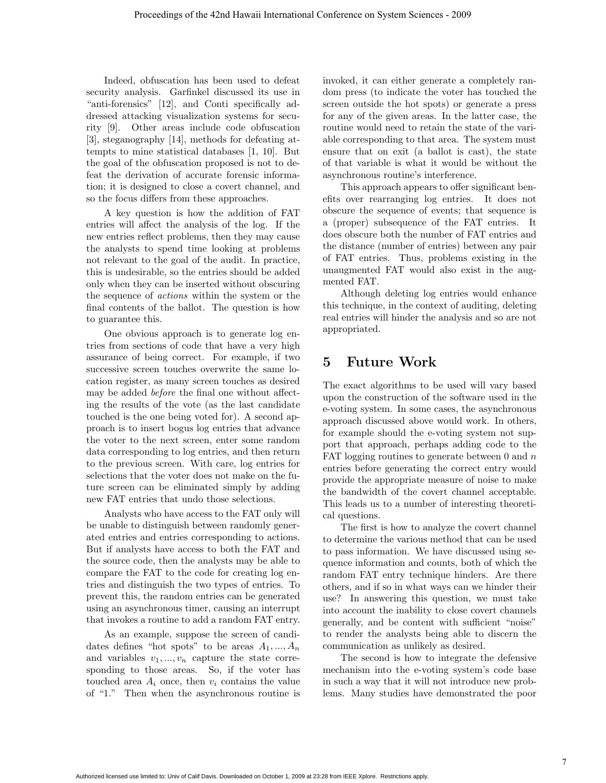Indeed, obfuscation has been used to defeat security analysis. Garfinkel discussed its use in "anti-forensics" [12], and Conti specifically addressed attacking visualization systems for security [9]. Other areas include code obfuscation [3], steganography [14], methods for defeating attempts to mine statistical databases [1, 10]. But the goal of the obfuscation proposed is not to defeat the derivation of accurate forensic information; it is designed to close a covert channel, and so the focus differs from these approaches.

A key question is how the addition of FAT entries will affect the analysis of the log. If the new entries reflect problems, then they may cause the analysts to spend time looking at problems not relevant to the goal of the audit. In practice, this is undesirable, so the entries should be added only when they can be inserted without obscuring the sequence of actions within the system or the final contents of the ballot. The question is how to guarantee this.

One obvious approach is to generate log entries from sections of code that have a very high assurance of being correct. For example, if two successive screen touches overwrite the same location register, as many screen touches as desired may be added before the final one without affecting the results of the vote (as the last candidate touched is the one being voted for). A second approach is to insert bogus log entries that advance the voter to the next screen, enter some random data corresponding to log entries, and then return to the previous screen. With care, log entries for selections that the voter does not make on the future screen can be eliminated simply by adding new FAT entries that undo those selections.

Analysts who have access to the FAT only will be unable to distinguish between randomly generated entries and entries corresponding to actions. But if analysts have access to both the FAT and the source code, then the analysts may be able to compare the FAT to the code for creating log entries and distinguish the two types of entries. To prevent this, the random entries can be generated using an asynchronous timer, causing an interrupt that invokes a routine to add a random FAT entry.

As an example, suppose the screen of candidates defines "hot spots" to be areas  $A_1, ..., A_n$ and variables  $v_1, ..., v_n$  capture the state corresponding to those areas. So, if the voter has touched area  $A_i$  once, then  $v_i$  contains the value of "1." Then when the asynchronous routine is invoked, it can either generate a completely random press (to indicate the voter has touched the screen outside the hot spots) or generate a press for any of the given areas. In the latter case, the routine would need to retain the state of the variable corresponding to that area. The system must ensure that on exit (a ballot is cast), the state of that variable is what it would be without the asynchronous routine's interference.

This approach appears to offer significant benefits over rearranging log entries. It does not obscure the sequence of events; that sequence is a (proper) subsequence of the FAT entries. It does obscure both the number of FAT entries and the distance (number of entries) between any pair of FAT entries. Thus, problems existing in the unaugmented FAT would also exist in the augmented FAT.

Although deleting log entries would enhance this technique, in the context of auditing, deleting real entries will hinder the analysis and so are not appropriated.

## **5 Future Work**

The exact algorithms to be used will vary based upon the construction of the software used in the e-voting system. In some cases, the asynchronous approach discussed above would work. In others, for example should the e-voting system not support that approach, perhaps adding code to the FAT logging routines to generate between 0 and  $n$ entries before generating the correct entry would provide the appropriate measure of noise to make the bandwidth of the covert channel acceptable. This leads us to a number of interesting theoretical questions.

The first is how to analyze the covert channel to determine the various method that can be used to pass information. We have discussed using sequence information and counts, both of which the random FAT entry technique hinders. Are there others, and if so in what ways can we hinder their use? In answering this question, we must take into account the inability to close covert channels generally, and be content with sufficient "noise" to render the analysts being able to discern the communication as unlikely as desired.

The second is how to integrate the defensive mechanism into the e-voting system's code base in such a way that it will not introduce new problems. Many studies have demonstrated the poor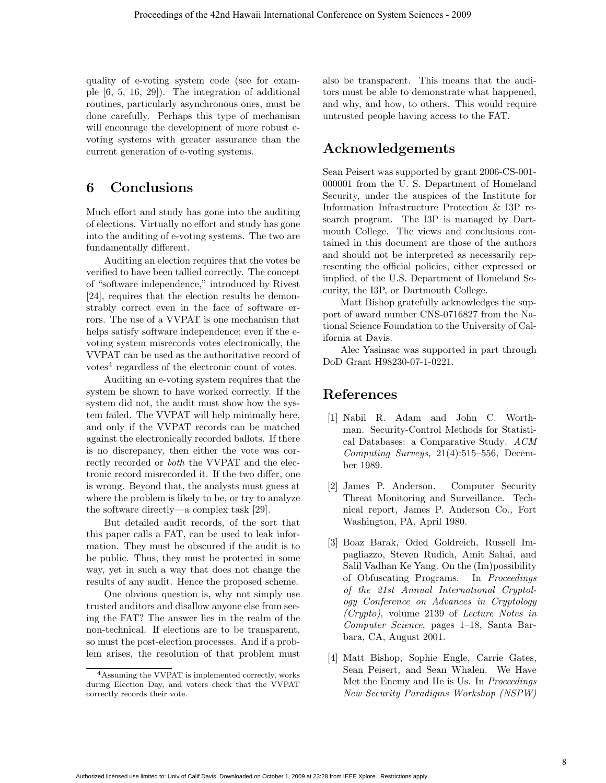quality of e-voting system code (see for example [6, 5, 16, 29]). The integration of additional routines, particularly asynchronous ones, must be done carefully. Perhaps this type of mechanism will encourage the development of more robust evoting systems with greater assurance than the current generation of e-voting systems.

## **6 Conclusions**

Much effort and study has gone into the auditing of elections. Virtually no effort and study has gone into the auditing of e-voting systems. The two are fundamentally different.

Auditing an election requires that the votes be verified to have been tallied correctly. The concept of "software independence," introduced by Rivest [24], requires that the election results be demonstrably correct even in the face of software errors. The use of a VVPAT is one mechanism that helps satisfy software independence; even if the evoting system misrecords votes electronically, the VVPAT can be used as the authoritative record of  $votes<sup>4</sup> regardless of the electronic count of votes.$ 

Auditing an e-voting system requires that the system be shown to have worked correctly. If the system did not, the audit must show how the system failed. The VVPAT will help minimally here, and only if the VVPAT records can be matched against the electronically recorded ballots. If there is no discrepancy, then either the vote was correctly recorded or both the VVPAT and the electronic record misrecorded it. If the two differ, one is wrong. Beyond that, the analysts must guess at where the problem is likely to be, or try to analyze the software directly—a complex task [29].

But detailed audit records, of the sort that this paper calls a FAT, can be used to leak information. They must be obscured if the audit is to be public. Thus, they must be protected in some way, yet in such a way that does not change the results of any audit. Hence the proposed scheme.

One obvious question is, why not simply use trusted auditors and disallow anyone else from seeing the FAT? The answer lies in the realm of the non-technical. If elections are to be transparent, so must the post-election processes. And if a problem arises, the resolution of that problem must also be transparent. This means that the auditors must be able to demonstrate what happened, and why, and how, to others. This would require untrusted people having access to the FAT.

## **Acknowledgements**

Sean Peisert was supported by grant 2006-CS-001- 000001 from the U. S. Department of Homeland Security, under the auspices of the Institute for Information Infrastructure Protection & I3P research program. The I3P is managed by Dartmouth College. The views and conclusions contained in this document are those of the authors and should not be interpreted as necessarily representing the official policies, either expressed or implied, of the U.S. Department of Homeland Security, the I3P, or Dartmouth College.

Matt Bishop gratefully acknowledges the support of award number CNS-0716827 from the National Science Foundation to the University of California at Davis.

Alec Yasinsac was supported in part through DoD Grant H98230-07-1-0221.

### **References**

- [1] Nabil R. Adam and John C. Worthman. Security-Control Methods for Statistical Databases: a Comparative Study. ACM Computing Surveys, 21(4):515–556, December 1989.
- [2] James P. Anderson. Computer Security Threat Monitoring and Surveillance. Technical report, James P. Anderson Co., Fort Washington, PA, April 1980.
- [3] Boaz Barak, Oded Goldreich, Russell Impagliazzo, Steven Rudich, Amit Sahai, and Salil Vadhan Ke Yang. On the (Im)possibility of Obfuscating Programs. In Proceedings of the 21st Annual International Cryptology Conference on Advances in Cryptology (Crypto), volume 2139 of Lecture Notes in Computer Science, pages 1–18, Santa Barbara, CA, August 2001.
- [4] Matt Bishop, Sophie Engle, Carrie Gates, Sean Peisert, and Sean Whalen. We Have Met the Enemy and He is Us. In Proceedings New Security Paradigms Workshop (NSPW)

<sup>4</sup>Assuming the VVPAT is implemented correctly, works during Election Day, and voters check that the VVPAT correctly records their vote.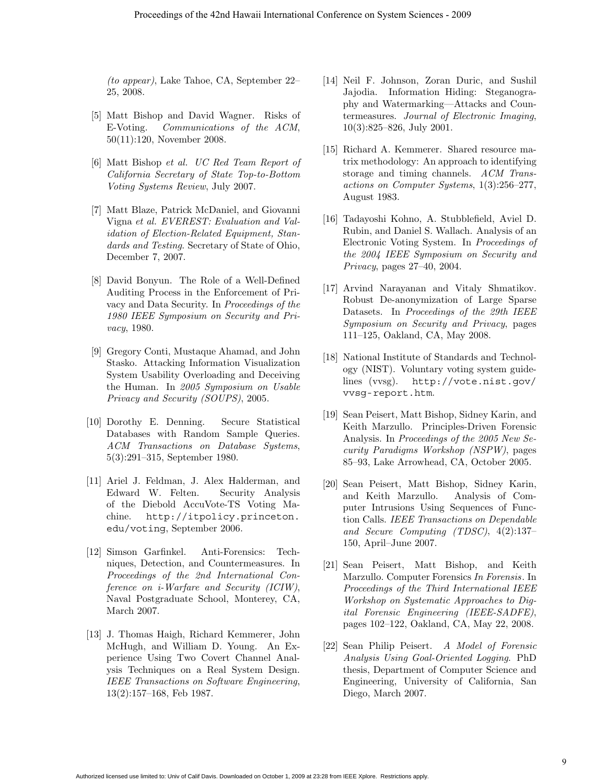(to appear), Lake Tahoe, CA, September 22– 25, 2008.

- [5] Matt Bishop and David Wagner. Risks of E-Voting. Communications of the ACM, 50(11):120, November 2008.
- [6] Matt Bishop et al. UC Red Team Report of California Secretary of State Top-to-Bottom Voting Systems Review, July 2007.
- [7] Matt Blaze, Patrick McDaniel, and Giovanni Vigna et al. EVEREST: Evaluation and Validation of Election-Related Equipment, Standards and Testing. Secretary of State of Ohio, December 7, 2007.
- [8] David Bonyun. The Role of a Well-Defined Auditing Process in the Enforcement of Privacy and Data Security. In Proceedings of the 1980 IEEE Symposium on Security and Privacy, 1980.
- [9] Gregory Conti, Mustaque Ahamad, and John Stasko. Attacking Information Visualization System Usability Overloading and Deceiving the Human. In 2005 Symposium on Usable Privacy and Security (SOUPS), 2005.
- [10] Dorothy E. Denning. Secure Statistical Databases with Random Sample Queries. ACM Transactions on Database Systems, 5(3):291–315, September 1980.
- [11] Ariel J. Feldman, J. Alex Halderman, and Edward W. Felten. Security Analysis of the Diebold AccuVote-TS Voting Machine. http://itpolicy.princeton. edu/voting, September 2006.
- [12] Simson Garfinkel. Anti-Forensics: Techniques, Detection, and Countermeasures. In Proceedings of the 2nd International Conference on i-Warfare and Security (ICIW), Naval Postgraduate School, Monterey, CA, March 2007.
- [13] J. Thomas Haigh, Richard Kemmerer, John McHugh, and William D. Young. An Experience Using Two Covert Channel Analysis Techniques on a Real System Design. IEEE Transactions on Software Engineering, 13(2):157–168, Feb 1987.
- [14] Neil F. Johnson, Zoran Duric, and Sushil Jajodia. Information Hiding: Steganography and Watermarking—Attacks and Countermeasures. Journal of Electronic Imaging, 10(3):825–826, July 2001.
- [15] Richard A. Kemmerer. Shared resource matrix methodology: An approach to identifying storage and timing channels. ACM Transactions on Computer Systems, 1(3):256–277, August 1983.
- [16] Tadayoshi Kohno, A. Stubblefield, Aviel D. Rubin, and Daniel S. Wallach. Analysis of an Electronic Voting System. In Proceedings of the 2004 IEEE Symposium on Security and Privacy, pages 27–40, 2004.
- [17] Arvind Narayanan and Vitaly Shmatikov. Robust De-anonymization of Large Sparse Datasets. In Proceedings of the 29th IEEE Symposium on Security and Privacy, pages 111–125, Oakland, CA, May 2008.
- [18] National Institute of Standards and Technology (NIST). Voluntary voting system guidelines (vvsg). http://vote.nist.gov/ vvsg-report.htm.
- [19] Sean Peisert, Matt Bishop, Sidney Karin, and Keith Marzullo. Principles-Driven Forensic Analysis. In Proceedings of the 2005 New Security Paradigms Workshop (NSPW), pages 85–93, Lake Arrowhead, CA, October 2005.
- [20] Sean Peisert, Matt Bishop, Sidney Karin, and Keith Marzullo. Analysis of Computer Intrusions Using Sequences of Function Calls. IEEE Transactions on Dependable and Secure Computing (TDSC), 4(2):137– 150, April–June 2007.
- [21] Sean Peisert, Matt Bishop, and Keith Marzullo. Computer Forensics In Forensis. In Proceedings of the Third International IEEE Workshop on Systematic Approaches to Digital Forensic Engineering (IEEE-SADFE), pages 102–122, Oakland, CA, May 22, 2008.
- [22] Sean Philip Peisert. A Model of Forensic Analysis Using Goal-Oriented Logging. PhD thesis, Department of Computer Science and Engineering, University of California, San Diego, March 2007.